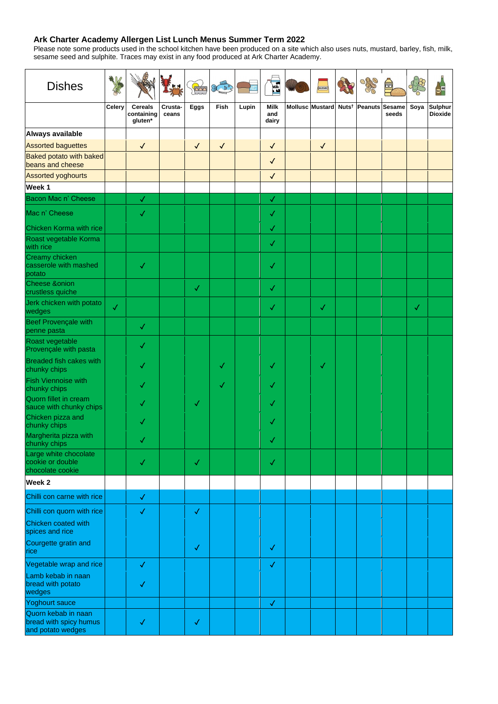## **Ark Charter Academy Allergen List Lunch Menus Summer Term 2022**

Please note some products used in the school kitchen have been produced on a site which also uses nuts, mustard, barley, fish, milk, sesame seed and sulphite. Traces may exist in any food produced at Ark Charter Academy.

| <b>Dishes</b>                                                      |               |                                         |                  | <b>PAD</b>   | COLLES OF    |       | Milk <sub>s</sub>           | <b>MUSTARD</b>  | OARO                             |       |              |                           |
|--------------------------------------------------------------------|---------------|-----------------------------------------|------------------|--------------|--------------|-------|-----------------------------|-----------------|----------------------------------|-------|--------------|---------------------------|
|                                                                    | <b>Celery</b> | <b>Cereals</b><br>containing<br>gluten* | Crusta-<br>ceans | <b>Eggs</b>  | <b>Fish</b>  | Lupin | <b>Milk</b><br>and<br>dairy | Mollusc Mustard | Nuts <sup>†</sup> Peanuts Sesame | seeds | Soya         | Sulphur<br><b>Dioxide</b> |
| Always available                                                   |               |                                         |                  |              |              |       |                             |                 |                                  |       |              |                           |
| <b>Assorted baguettes</b>                                          |               | $\sqrt{2}$                              |                  | $\sqrt{}$    | $\sqrt{}$    |       | $\checkmark$                | $\sqrt{2}$      |                                  |       |              |                           |
| <b>Baked potato with baked</b><br>beans and cheese                 |               |                                         |                  |              |              |       | $\checkmark$                |                 |                                  |       |              |                           |
| <b>Assorted yoghourts</b>                                          |               |                                         |                  |              |              |       | $\checkmark$                |                 |                                  |       |              |                           |
| Week 1                                                             |               |                                         |                  |              |              |       |                             |                 |                                  |       |              |                           |
| <b>Bacon Mac n' Cheese</b>                                         |               | $\sqrt{}$                               |                  |              |              |       | $\checkmark$                |                 |                                  |       |              |                           |
| Mac n' Cheese                                                      |               | <b>N</b>                                |                  |              |              |       | $\checkmark$                |                 |                                  |       |              |                           |
| <b>Chicken Korma with rice</b>                                     |               |                                         |                  |              |              |       | $\checkmark$                |                 |                                  |       |              |                           |
| Roast vegetable Korma<br>with rice                                 |               |                                         |                  |              |              |       | $\checkmark$                |                 |                                  |       |              |                           |
| <b>Creamy chicken</b><br>casserole with mashed<br>potato           |               | $\checkmark$                            |                  |              |              |       | $\checkmark$                |                 |                                  |       |              |                           |
| <b>Cheese &amp;onion</b><br>crustless quiche                       |               |                                         |                  | $\checkmark$ |              |       | $\checkmark$                |                 |                                  |       |              |                           |
| Jerk chicken with potato<br>wedges                                 | $\checkmark$  |                                         |                  |              |              |       | $\checkmark$                | $\checkmark$    |                                  |       | $\checkmark$ |                           |
| <b>Beef Provençale with</b><br>penne pasta                         |               | $\checkmark$                            |                  |              |              |       |                             |                 |                                  |       |              |                           |
| Roast vegetable<br>Provençale with pasta                           |               | $\checkmark$                            |                  |              |              |       |                             |                 |                                  |       |              |                           |
| <b>Breaded fish cakes with</b><br>chunky chips                     |               | $\checkmark$                            |                  |              | $\checkmark$ |       | $\checkmark$                | $\checkmark$    |                                  |       |              |                           |
| <b>Fish Viennoise with</b><br>chunky chips                         |               | $\checkmark$                            |                  |              | $\checkmark$ |       | $\checkmark$                |                 |                                  |       |              |                           |
| Quorn fillet in cream<br>sauce with chunky chips                   |               | $\checkmark$                            |                  | $\checkmark$ |              |       | $\checkmark$                |                 |                                  |       |              |                           |
| Chicken pizza and<br>chunky chips                                  |               | $\checkmark$                            |                  |              |              |       | $\checkmark$                |                 |                                  |       |              |                           |
| Margherita pizza with<br>chunky chips                              |               | $\checkmark$                            |                  |              |              |       | $\checkmark$                |                 |                                  |       |              |                           |
| Large white chocolate<br>cookie or double<br>chocolate cookie      |               | $\checkmark$                            |                  | $\checkmark$ |              |       | $\checkmark$                |                 |                                  |       |              |                           |
| <b>Week 2</b>                                                      |               |                                         |                  |              |              |       |                             |                 |                                  |       |              |                           |
| Chilli con carne with rice                                         |               | $\checkmark$                            |                  |              |              |       |                             |                 |                                  |       |              |                           |
| Chilli con quorn with rice                                         |               | $\checkmark$                            |                  | $\checkmark$ |              |       |                             |                 |                                  |       |              |                           |
| Chicken coated with<br>spices and rice                             |               |                                         |                  |              |              |       |                             |                 |                                  |       |              |                           |
| Courgette gratin and<br>rice                                       |               |                                         |                  | $\checkmark$ |              |       | $\checkmark$                |                 |                                  |       |              |                           |
| Vegetable wrap and rice                                            |               | $\checkmark$                            |                  |              |              |       | $\checkmark$                |                 |                                  |       |              |                           |
| Lamb kebab in naan<br>bread with potato<br>wedges                  |               | $\checkmark$                            |                  |              |              |       |                             |                 |                                  |       |              |                           |
| Yoghourt sauce                                                     |               |                                         |                  |              |              |       | $\blacklozenge$             |                 |                                  |       |              |                           |
| Quorn kebab in naan<br>bread with spicy humus<br>and potato wedges |               | $\checkmark$                            |                  | $\checkmark$ |              |       |                             |                 |                                  |       |              |                           |